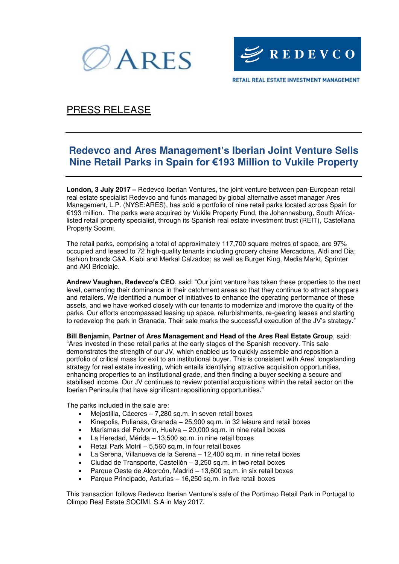



PRESS RELEASE

# **Redevco and Ares Management's Iberian Joint Venture Sells Nine Retail Parks in Spain for €193 Million to Vukile Property**

**London, 3 July 2017 –** Redevco Iberian Ventures, the joint venture between pan-European retail real estate specialist Redevco and funds managed by global alternative asset manager Ares Management, L.P. (NYSE:ARES), has sold a portfolio of nine retail parks located across Spain for €193 million. The parks were acquired by Vukile Property Fund, the Johannesburg, South Africalisted retail property specialist, through its Spanish real estate investment trust (REIT), Castellana Property Socimi.

The retail parks, comprising a total of approximately 117,700 square metres of space, are 97% occupied and leased to 72 high-quality tenants including grocery chains Mercadona, Aldi and Dia; fashion brands C&A, Kiabi and Merkal Calzados; as well as Burger King, Media Markt, Sprinter and AKI Bricolaje.

**Andrew Vaughan, Redevco's CEO**, said: "Our joint venture has taken these properties to the next level, cementing their dominance in their catchment areas so that they continue to attract shoppers and retailers. We identified a number of initiatives to enhance the operating performance of these assets, and we have worked closely with our tenants to modernize and improve the quality of the parks. Our efforts encompassed leasing up space, refurbishments, re-gearing leases and starting to redevelop the park in Granada. Their sale marks the successful execution of the JV's strategy."

**Bill Benjamin, Partner of Ares Management and Head of the Ares Real Estate Group**, said: "Ares invested in these retail parks at the early stages of the Spanish recovery. This sale demonstrates the strength of our JV, which enabled us to quickly assemble and reposition a portfolio of critical mass for exit to an institutional buyer. This is consistent with Ares' longstanding strategy for real estate investing, which entails identifying attractive acquisition opportunities, enhancing properties to an institutional grade, and then finding a buyer seeking a secure and stabilised income. Our JV continues to review potential acquisitions within the retail sector on the Iberian Peninsula that have significant repositioning opportunities."

The parks included in the sale are:

- Mejostilla, Cáceres 7,280 sq.m. in seven retail boxes
- Kinepolis, Pulianas, Granada 25,900 sq.m. in 32 leisure and retail boxes
- Marismas del Polvorin, Huelva 20,000 sq.m. in nine retail boxes
- La Heredad, Mérida 13,500 sq.m. in nine retail boxes
- Retail Park Motril 5,560 sq.m. in four retail boxes
- La Serena, Villanueva de la Serena 12,400 sq.m. in nine retail boxes
- Ciudad de Transporte, Castellón 3,250 sq.m. in two retail boxes
- Parque Oeste de Alcorcón, Madrid 13,600 sq.m. in six retail boxes
- Parque Principado, Asturias 16,250 sq.m. in five retail boxes

This transaction follows Redevco Iberian Venture's sale of the Portimao Retail Park in Portugal to Olimpo Real Estate SOCIMI, S.A in May 2017.